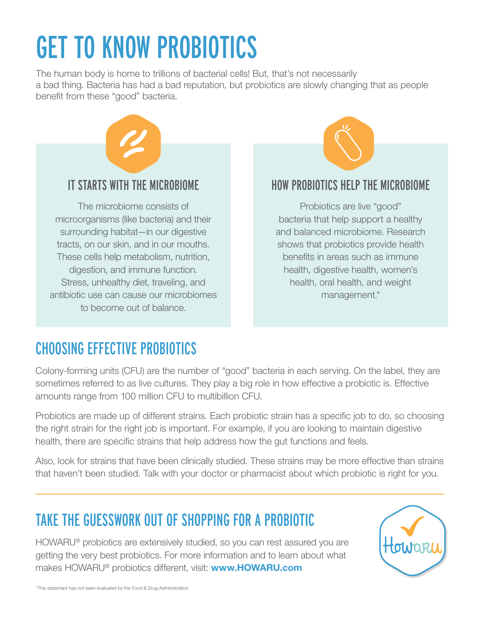# GET TO KNOW PROBIOTICS

The human body is home to trillions of bacterial cells! But, that's not necessarily a bad thing. Bacteria has had a bad reputation, but probiotics are slowly changing that as people benefit from these "good" bacteria.





#### HOW PROBIOTICS HELP THE MICROBIOME

Probiotics are live "good" bacteria that help support a healthy and balanced microbiome. Research shows that probiotics provide health benefits in areas such as immune health, digestive health, women's health, oral health, and weight management.\*

### CHOOSING EFFECTIVE PROBIOTICS

Colony-forming units (CFU) are the number of "good" bacteria in each serving. On the label, they are sometimes referred to as live cultures. They play a big role in how effective a probiotic is. Effective amounts range from 100 million CFU to multibillion CFU.

Probiotics are made up of different strains. Each probiotic strain has a specific job to do, so choosing the right strain for the right job is important. For example, if you are looking to maintain digestive health, there are specific strains that help address how the gut functions and feels.

Also, look for strains that have been clinically studied. These strains may be more effective than strains that haven't been studied. Talk with your doctor or pharmacist about which probiotic is right for you.

#### TAKE THE GUESSWORK OUT OF SHOPPING FOR A PROBIOTIC

HOWARU® probiotics are extensively studied, so you can rest assured you are getting the very best probiotics. For more information and to learn about what makes HOWARU® probiotics different, visit: **<www.HOWARU.com>**